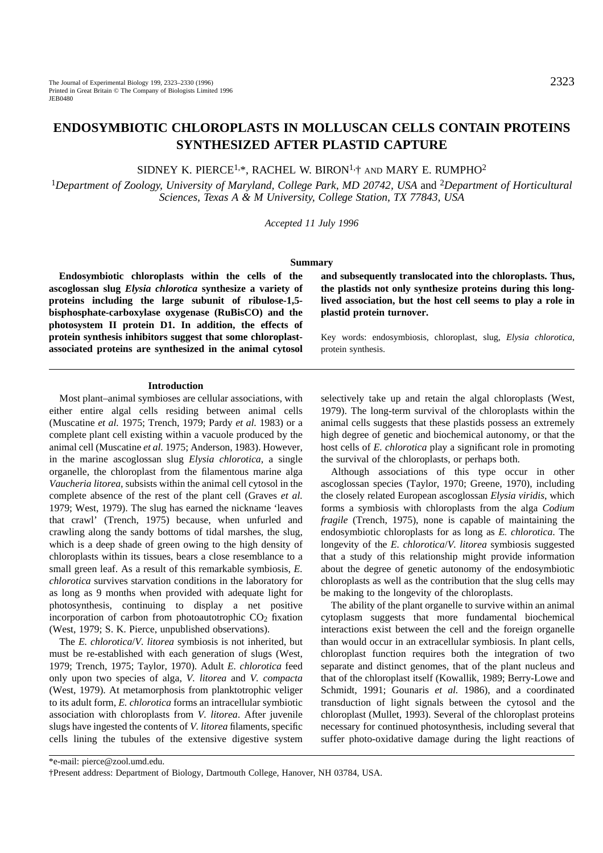# **ENDOSYMBIOTIC CHLOROPLASTS IN MOLLUSCAN CELLS CONTAIN PROTEINS SYNTHESIZED AFTER PLASTID CAPTURE**

SIDNEY K. PIERCE<sup>1,\*</sup>, RACHEL W. BIRON<sup>1,+</sup> AND MARY E. RUMPHO<sup>2</sup>

<sup>1</sup>*Department of Zoology, University of Maryland, College Park, MD 20742, USA* and 2*Department of Horticultural Sciences, Texas A & M University, College Station, TX 77843, USA*

*Accepted 11 July 1996*

### **Summary**

**Endosymbiotic chloroplasts within the cells of the ascoglossan slug** *Elysia chlorotica* **synthesize a variety of proteins including the large subunit of ribulose-1,5 bisphosphate-carboxylase oxygenase (RuBisCO) and the photosystem II protein D1. In addition, the effects of protein synthesis inhibitors suggest that some chloroplastassociated proteins are synthesized in the animal cytosol**

**and subsequently translocated into the chloroplasts. Thus, the plastids not only synthesize proteins during this longlived association, but the host cell seems to play a role in plastid protein turnover.**

Key words: endosymbiosis, chloroplast, slug, *Elysia chlorotica*, protein synthesis.

#### **Introduction**

Most plant–animal symbioses are cellular associations, with either entire algal cells residing between animal cells (Muscatine *et al.* 1975; Trench, 1979; Pardy *et al.* 1983) or a complete plant cell existing within a vacuole produced by the animal cell (Muscatine *et al.* 1975; Anderson, 1983). However, in the marine ascoglossan slug *Elysia chlorotica*, a single organelle, the chloroplast from the filamentous marine alga *Vaucheria litorea*, subsists within the animal cell cytosol in the complete absence of the rest of the plant cell (Graves *et al.* 1979; West, 1979). The slug has earned the nickname 'leaves that crawl' (Trench, 1975) because, when unfurled and crawling along the sandy bottoms of tidal marshes, the slug, which is a deep shade of green owing to the high density of chloroplasts within its tissues, bears a close resemblance to a small green leaf. As a result of this remarkable symbiosis, *E. chlorotica* survives starvation conditions in the laboratory for as long as 9 months when provided with adequate light for photosynthesis, continuing to display a net positive incorporation of carbon from photoautotrophic  $CO<sub>2</sub>$  fixation (West, 1979; S. K. Pierce, unpublished observations).

The *E. chlorotica*/*V. litorea* symbiosis is not inherited, but must be re-established with each generation of slugs (West, 1979; Trench, 1975; Taylor, 1970). Adult *E. chlorotica* feed only upon two species of alga, *V. litorea* and *V. compacta* (West, 1979). At metamorphosis from planktotrophic veliger to its adult form, *E. chlorotica* forms an intracellular symbiotic association with chloroplasts from *V. litorea*. After juvenile slugs have ingested the contents of *V. litorea* filaments, specific cells lining the tubules of the extensive digestive system

selectively take up and retain the algal chloroplasts (West, 1979). The long-term survival of the chloroplasts within the animal cells suggests that these plastids possess an extremely high degree of genetic and biochemical autonomy, or that the host cells of *E. chlorotica* play a significant role in promoting the survival of the chloroplasts, or perhaps both.

Although associations of this type occur in other ascoglossan species (Taylor, 1970; Greene, 1970), including the closely related European ascoglossan *Elysia viridis*, which forms a symbiosis with chloroplasts from the alga *Codium fragile* (Trench, 1975), none is capable of maintaining the endosymbiotic chloroplasts for as long as *E. chlorotica*. The longevity of the *E. chlorotica*/*V. litorea* symbiosis suggested that a study of this relationship might provide information about the degree of genetic autonomy of the endosymbiotic chloroplasts as well as the contribution that the slug cells may be making to the longevity of the chloroplasts.

The ability of the plant organelle to survive within an animal cytoplasm suggests that more fundamental biochemical interactions exist between the cell and the foreign organelle than would occur in an extracellular symbiosis. In plant cells, chloroplast function requires both the integration of two separate and distinct genomes, that of the plant nucleus and that of the chloroplast itself (Kowallik, 1989; Berry-Lowe and Schmidt, 1991; Gounaris *et al.* 1986), and a coordinated transduction of light signals between the cytosol and the chloroplast (Mullet, 1993). Several of the chloroplast proteins necessary for continued photosynthesis, including several that suffer photo-oxidative damage during the light reactions of

\*e-mail: pierce@zool.umd.edu. †Present address: Department of Biology, Dartmouth College, Hanover, NH 03784, USA.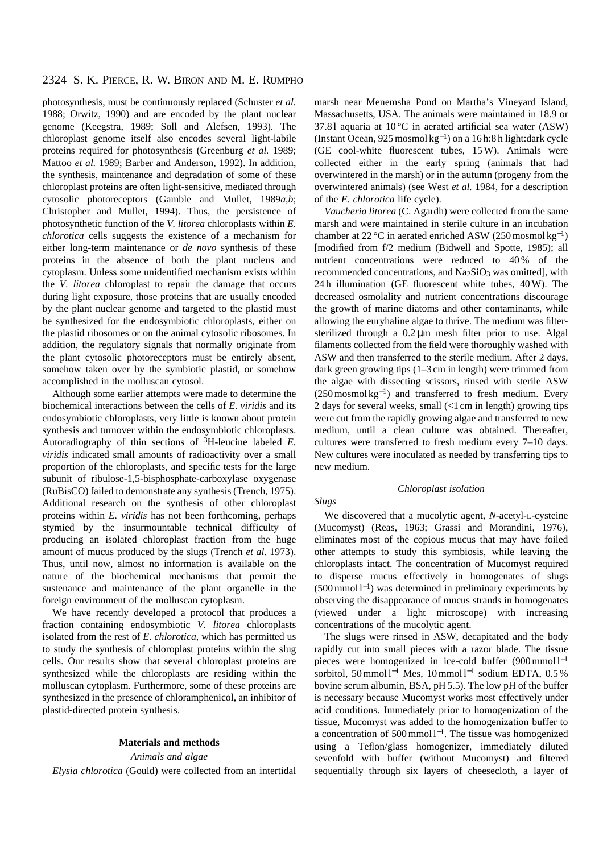photosynthesis, must be continuously replaced (Schuster *et al.* 1988; Orwitz, 1990) and are encoded by the plant nuclear genome (Keegstra, 1989; Soll and Alefsen, 1993). The chloroplast genome itself also encodes several light-labile proteins required for photosynthesis (Greenburg *et al.* 1989; Mattoo *et al.* 1989; Barber and Anderson, 1992). In addition, the synthesis, maintenance and degradation of some of these chloroplast proteins are often light-sensitive, mediated through cytosolic photoreceptors (Gamble and Mullet, 1989*a*,*b*; Christopher and Mullet, 1994). Thus, the persistence of photosynthetic function of the *V. litorea* chloroplasts within *E. chlorotica* cells suggests the existence of a mechanism for either long-term maintenance or *de novo* synthesis of these proteins in the absence of both the plant nucleus and cytoplasm. Unless some unidentified mechanism exists within the *V. litorea* chloroplast to repair the damage that occurs during light exposure, those proteins that are usually encoded by the plant nuclear genome and targeted to the plastid must be synthesized for the endosymbiotic chloroplasts, either on the plastid ribosomes or on the animal cytosolic ribosomes. In addition, the regulatory signals that normally originate from the plant cytosolic photoreceptors must be entirely absent, somehow taken over by the symbiotic plastid, or somehow accomplished in the molluscan cytosol.

Although some earlier attempts were made to determine the biochemical interactions between the cells of *E. viridis* and its endosymbiotic chloroplasts, very little is known about protein synthesis and turnover within the endosymbiotic chloroplasts. Autoradiography of thin sections of 3H-leucine labeled *E. viridis* indicated small amounts of radioactivity over a small proportion of the chloroplasts, and specific tests for the large subunit of ribulose-1,5-bisphosphate-carboxylase oxygenase (RuBisCO) failed to demonstrate any synthesis (Trench, 1975). Additional research on the synthesis of other chloroplast proteins within *E. viridis* has not been forthcoming, perhaps stymied by the insurmountable technical difficulty of producing an isolated chloroplast fraction from the huge amount of mucus produced by the slugs (Trench *et al.* 1973). Thus, until now, almost no information is available on the nature of the biochemical mechanisms that permit the sustenance and maintenance of the plant organelle in the foreign environment of the molluscan cytoplasm.

We have recently developed a protocol that produces a fraction containing endosymbiotic *V. litorea* chloroplasts isolated from the rest of *E. chlorotica*, which has permitted us to study the synthesis of chloroplast proteins within the slug cells. Our results show that several chloroplast proteins are synthesized while the chloroplasts are residing within the molluscan cytoplasm. Furthermore, some of these proteins are synthesized in the presence of chloramphenicol, an inhibitor of plastid-directed protein synthesis.

### **Materials and methods**

### *Animals and algae*

*Elysia chlorotica* (Gould) were collected from an intertidal

marsh near Menemsha Pond on Martha's Vineyard Island, Massachusetts, USA. The animals were maintained in 18.9 or 37.8 l aquaria at 10 °C in aerated artificial sea water (ASW) (Instant Ocean, 925 mosmol kg<sup>−</sup>1) on a 16 h:8 h light:dark cycle (GE cool-white fluorescent tubes, 15 W). Animals were collected either in the early spring (animals that had overwintered in the marsh) or in the autumn (progeny from the overwintered animals) (see West *et al.* 1984, for a description of the *E. chlorotica* life cycle).

*Vaucheria litorea* (C. Agardh) were collected from the same marsh and were maintained in sterile culture in an incubation chamber at 22 °C in aerated enriched ASW (250 mosmol kg<sup>-1</sup>) [modified from f/2 medium (Bidwell and Spotte, 1985); all nutrient concentrations were reduced to 40 % of the recommended concentrations, and Na2SiO3 was omitted], with 24 h illumination (GE fluorescent white tubes, 40 W). The decreased osmolality and nutrient concentrations discourage the growth of marine diatoms and other contaminants, while allowing the euryhaline algae to thrive. The medium was filtersterilized through a 0.2 µm mesh filter prior to use. Algal filaments collected from the field were thoroughly washed with ASW and then transferred to the sterile medium. After 2 days, dark green growing tips (1–3 cm in length) were trimmed from the algae with dissecting scissors, rinsed with sterile ASW  $(250 \text{ mosmol kg}^{-1})$  and transferred to fresh medium. Every 2 days for several weeks, small (<1 cm in length) growing tips were cut from the rapidly growing algae and transferred to new medium, until a clean culture was obtained. Thereafter, cultures were transferred to fresh medium every 7–10 days. New cultures were inoculated as needed by transferring tips to new medium.

### *Chloroplast isolation*

### *Slugs*

We discovered that a mucolytic agent, *N*-acetyl-L-cysteine (Mucomyst) (Reas, 1963; Grassi and Morandini, 1976), eliminates most of the copious mucus that may have foiled other attempts to study this symbiosis, while leaving the chloroplasts intact. The concentration of Mucomyst required to disperse mucus effectively in homogenates of slugs (500 mmol l<sup>−</sup>1) was determined in preliminary experiments by observing the disappearance of mucus strands in homogenates (viewed under a light microscope) with increasing concentrations of the mucolytic agent.

The slugs were rinsed in ASW, decapitated and the body rapidly cut into small pieces with a razor blade. The tissue pieces were homogenized in ice-cold buffer (900 mmol l<sup>−1</sup> sorbitol, 50 mmol l<sup>-1</sup> Mes, 10 mmol l<sup>-1</sup> sodium EDTA, 0.5 % bovine serum albumin, BSA, pH 5.5). The low pH of the buffer is necessary because Mucomyst works most effectively under acid conditions. Immediately prior to homogenization of the tissue, Mucomyst was added to the homogenization buffer to a concentration of 500 mmol l<sup>−</sup>1. The tissue was homogenized using a Teflon/glass homogenizer, immediately diluted sevenfold with buffer (without Mucomyst) and filtered sequentially through six layers of cheesecloth, a layer of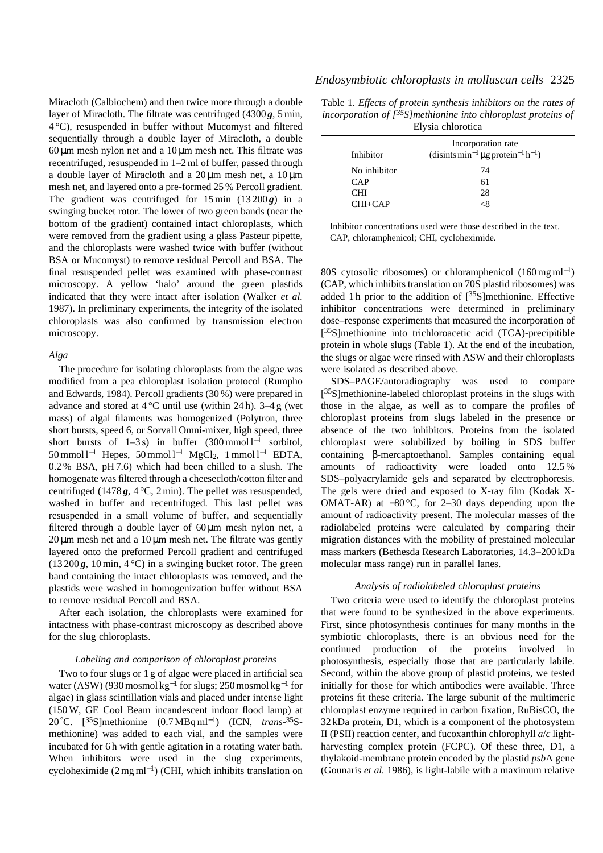Miracloth (Calbiochem) and then twice more through a double layer of Miracloth. The filtrate was centrifuged (4300 *g*, 5 min, 4 °C), resuspended in buffer without Mucomyst and filtered sequentially through a double layer of Miracloth, a double  $60 \mu m$  mesh nylon net and a  $10 \mu m$  mesh net. This filtrate was recentrifuged, resuspended in 1–2 ml of buffer, passed through a double layer of Miracloth and a  $20 \mu m$  mesh net, a  $10 \mu m$ mesh net, and layered onto a pre-formed 25 % Percoll gradient. The gradient was centrifuged for  $15 \text{ min}$   $(13200 \text{ g})$  in a swinging bucket rotor. The lower of two green bands (near the bottom of the gradient) contained intact chloroplasts, which were removed from the gradient using a glass Pasteur pipette, and the chloroplasts were washed twice with buffer (without BSA or Mucomyst) to remove residual Percoll and BSA. The final resuspended pellet was examined with phase-contrast microscopy. A yellow 'halo' around the green plastids indicated that they were intact after isolation (Walker *et al.* 1987). In preliminary experiments, the integrity of the isolated chloroplasts was also confirmed by transmission electron microscopy.

### *Alga*

The procedure for isolating chloroplasts from the algae was modified from a pea chloroplast isolation protocol (Rumpho and Edwards, 1984). Percoll gradients (30 %) were prepared in advance and stored at  $4^{\circ}$ C until use (within 24 h).  $3-4$  g (wet mass) of algal filaments was homogenized (Polytron, three short bursts, speed 6, or Sorvall Omni-mixer, high speed, three short bursts of  $1-3s$ ) in buffer  $(300 \text{ mmol } l^{-1}$  sorbitol, 50 mmol l−<sup>1</sup> Hepes, 50 mmol l−<sup>1</sup> MgCl2, 1 mmol l−<sup>1</sup> EDTA, 0.2 % BSA, pH 7.6) which had been chilled to a slush. The homogenate was filtered through a cheesecloth/cotton filter and centrifuged (1478 $g$ , 4 °C, 2 min). The pellet was resuspended, washed in buffer and recentrifuged. This last pellet was resuspended in a small volume of buffer, and sequentially filtered through a double layer of  $60 \mu m$  mesh nylon net, a  $20 \mu m$  mesh net and a  $10 \mu m$  mesh net. The filtrate was gently layered onto the preformed Percoll gradient and centrifuged  $(13200\text{g}, 10 \text{min}, 4^{\circ}\text{C})$  in a swinging bucket rotor. The green band containing the intact chloroplasts was removed, and the plastids were washed in homogenization buffer without BSA to remove residual Percoll and BSA.

After each isolation, the chloroplasts were examined for intactness with phase-contrast microscopy as described above for the slug chloroplasts.

### *Labeling and comparison of chloroplast proteins*

Two to four slugs or 1 g of algae were placed in artificial sea water (ASW) (930 mosmol kg−<sup>1</sup> for slugs; 250 mosmol kg−<sup>1</sup> for algae) in glass scintillation vials and placed under intense light (150 W, GE Cool Beam incandescent indoor flood lamp) at 20°C. [35S]methionine (0.7 MBq ml−1) (ICN, *trans*-35Smethionine) was added to each vial, and the samples were incubated for 6h with gentle agitation in a rotating water bath. When inhibitors were used in the slug experiments, cycloheximide  $(2 \text{ mg ml}^{-1})$  (CHI, which inhibits translation on

### *Endosymbiotic chloroplasts in molluscan cells* 2325

| Table 1. Effects of protein synthesis inhibitors on the rates of         |
|--------------------------------------------------------------------------|
| incorporation of $\int^{35} S$ ] methionine into chloroplast proteins of |
| Elysia chlorotica                                                        |

|              | Incorporation rate                                                    |
|--------------|-----------------------------------------------------------------------|
| Inhibitor    | (disints min <sup>-1</sup> µg protein <sup>-1</sup> h <sup>-1</sup> ) |
| No inhibitor | 74                                                                    |
| CAP          | 61                                                                    |
| <b>CHI</b>   | 28                                                                    |
| $CHI + CAP$  | <8                                                                    |

Inhibitor concentrations used were those described in the text. CAP, chloramphenicol; CHI, cycloheximide.

80S cytosolic ribosomes) or chloramphenicol (160 mg ml<sup>−</sup>1) (CAP, which inhibits translation on 70S plastid ribosomes) was added 1 h prior to the addition of  $[^{35}S]$ methionine. Effective inhibitor concentrations were determined in preliminary dose–response experiments that measured the incorporation of [35S]methionine into trichloroacetic acid (TCA)-precipitible protein in whole slugs (Table 1). At the end of the incubation, the slugs or algae were rinsed with ASW and their chloroplasts were isolated as described above.

SDS–PAGE/autoradiography was used to compare [<sup>35</sup>S]methionine-labeled chloroplast proteins in the slugs with those in the algae, as well as to compare the profiles of chloroplast proteins from slugs labeled in the presence or absence of the two inhibitors. Proteins from the isolated chloroplast were solubilized by boiling in SDS buffer containing β-mercaptoethanol. Samples containing equal amounts of radioactivity were loaded onto 12.5 % SDS–polyacrylamide gels and separated by electrophoresis. The gels were dried and exposed to X-ray film (Kodak X-OMAT-AR) at −80 °C, for 2–30 days depending upon the amount of radioactivity present. The molecular masses of the radiolabeled proteins were calculated by comparing their migration distances with the mobility of prestained molecular mass markers (Bethesda Research Laboratories, 14.3–200 kDa molecular mass range) run in parallel lanes.

### *Analysis of radiolabeled chloroplast proteins*

Two criteria were used to identify the chloroplast proteins that were found to be synthesized in the above experiments. First, since photosynthesis continues for many months in the symbiotic chloroplasts, there is an obvious need for the continued production of the proteins involved in photosynthesis, especially those that are particularly labile. Second, within the above group of plastid proteins, we tested initially for those for which antibodies were available. Three proteins fit these criteria. The large subunit of the multimeric chloroplast enzyme required in carbon fixation, RuBisCO, the 32 kDa protein, D1, which is a component of the photosystem II (PSII) reaction center, and fucoxanthin chlorophyll *a*/*c* lightharvesting complex protein (FCPC). Of these three, D1, a thylakoid-membrane protein encoded by the plastid *psb*A gene (Gounaris *et al.* 1986), is light-labile with a maximum relative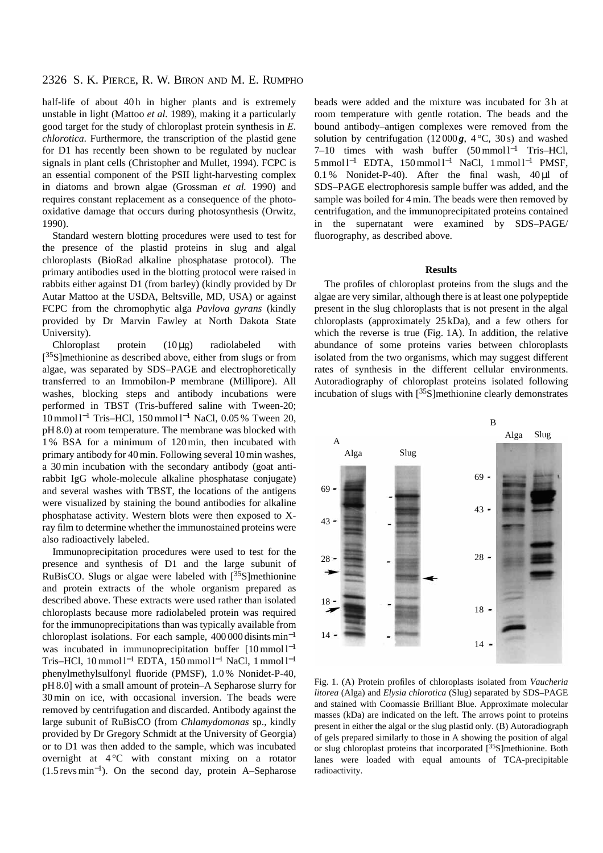half-life of about 40h in higher plants and is extremely unstable in light (Mattoo *et al.* 1989), making it a particularly good target for the study of chloroplast protein synthesis in *E. chlorotica*. Furthermore, the transcription of the plastid gene for D1 has recently been shown to be regulated by nuclear signals in plant cells (Christopher and Mullet, 1994). FCPC is an essential component of the PSII light-harvesting complex in diatoms and brown algae (Grossman *et al.* 1990) and requires constant replacement as a consequence of the photooxidative damage that occurs during photosynthesis (Orwitz, 1990).

Standard western blotting procedures were used to test for the presence of the plastid proteins in slug and algal chloroplasts (BioRad alkaline phosphatase protocol). The primary antibodies used in the blotting protocol were raised in rabbits either against D1 (from barley) (kindly provided by Dr Autar Mattoo at the USDA, Beltsville, MD, USA) or against FCPC from the chromophytic alga *Pavlova gyrans* (kindly provided by Dr Marvin Fawley at North Dakota State University).

Chloroplast protein  $(10 \mu g)$  radiolabeled with [<sup>35</sup>S]methionine as described above, either from slugs or from algae, was separated by SDS–PAGE and electrophoretically transferred to an Immobilon-P membrane (Millipore). All washes, blocking steps and antibody incubations were performed in TBST (Tris-buffered saline with Tween-20; 10 mmol l−<sup>1</sup> Tris–HCl, 150 mmol l−<sup>1</sup> NaCl, 0.05 % Tween 20, pH 8.0) at room temperature. The membrane was blocked with 1 % BSA for a minimum of 120 min, then incubated with primary antibody for 40 min. Following several 10 min washes, a 30 min incubation with the secondary antibody (goat antirabbit IgG whole-molecule alkaline phosphatase conjugate) and several washes with TBST, the locations of the antigens were visualized by staining the bound antibodies for alkaline phosphatase activity. Western blots were then exposed to Xray film to determine whether the immunostained proteins were also radioactively labeled.

Immunoprecipitation procedures were used to test for the presence and synthesis of D1 and the large subunit of RuBisCO. Slugs or algae were labeled with  $[35S]$ methionine and protein extracts of the whole organism prepared as described above. These extracts were used rather than isolated chloroplasts because more radiolabeled protein was required for the immunoprecipitations than was typically available from chloroplast isolations. For each sample, 400 000 disints min−<sup>1</sup> was incubated in immunoprecipitation buffer  $[10 \text{ mmol } l^{-1}]$ Tris–HCl, 10 mmol l<sup>-1</sup> EDTA, 150 mmol l<sup>-1</sup> NaCl, 1 mmol l<sup>-1</sup> phenylmethylsulfonyl fluoride (PMSF), 1.0 % Nonidet-P-40, pH 8.0] with a small amount of protein–A Sepharose slurry for 30 min on ice, with occasional inversion. The beads were removed by centrifugation and discarded. Antibody against the large subunit of RuBisCO (from *Chlamydomonas* sp., kindly provided by Dr Gregory Schmidt at the University of Georgia) or to D1 was then added to the sample, which was incubated overnight at  $4^{\circ}$ C with constant mixing on a rotator (1.5 revs min<sup>−</sup>1). On the second day, protein A–Sepharose beads were added and the mixture was incubated for 3 h at room temperature with gentle rotation. The beads and the bound antibody–antigen complexes were removed from the solution by centrifugation (12000 $g$ , 4 °C, 30 s) and washed 7–10 times with wash buffer (50 mmol l<sup>-1</sup> Tris–HCl, 5 mmol l−<sup>1</sup> EDTA, 150 mmol l−<sup>1</sup> NaCl, 1 mmol l−<sup>1</sup> PMSF,  $0.1\%$  Nonidet-P-40). After the final wash,  $40 \mu l$  of SDS–PAGE electrophoresis sample buffer was added, and the sample was boiled for 4 min. The beads were then removed by centrifugation, and the immunoprecipitated proteins contained in the supernatant were examined by SDS–PAGE/ fluorography, as described above.

### **Results**

The profiles of chloroplast proteins from the slugs and the algae are very similar, although there is at least one polypeptide present in the slug chloroplasts that is not present in the algal chloroplasts (approximately 25 kDa), and a few others for which the reverse is true (Fig. 1A). In addition, the relative abundance of some proteins varies between chloroplasts isolated from the two organisms, which may suggest different rates of synthesis in the different cellular environments. Autoradiography of chloroplast proteins isolated following incubation of slugs with  $[35S]$ methionine clearly demonstrates



Fig. 1. (A) Protein profiles of chloroplasts isolated from *Vaucheria litorea* (Alga) and *Elysia chlorotica* (Slug) separated by SDS–PAGE and stained with Coomassie Brilliant Blue. Approximate molecular masses (kDa) are indicated on the left. The arrows point to proteins present in either the algal or the slug plastid only. (B) Autoradiograph of gels prepared similarly to those in A showing the position of algal or slug chloroplast proteins that incorporated [35S]methionine. Both lanes were loaded with equal amounts of TCA-precipitable radioactivity.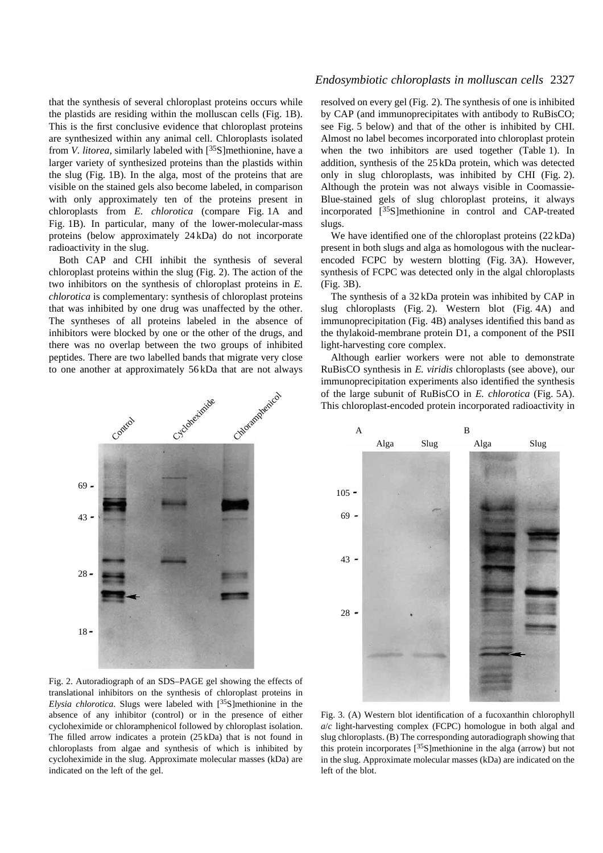that the synthesis of several chloroplast proteins occurs while the plastids are residing within the molluscan cells (Fig. 1B). This is the first conclusive evidence that chloroplast proteins are synthesized within any animal cell. Chloroplasts isolated from *V. litorea*, similarly labeled with [35S]methionine, have a larger variety of synthesized proteins than the plastids within the slug (Fig. 1B). In the alga, most of the proteins that are visible on the stained gels also become labeled, in comparison with only approximately ten of the proteins present in chloroplasts from *E. chlorotica* (compare Fig. 1A and Fig. 1B). In particular, many of the lower-molecular-mass proteins (below approximately 24 kDa) do not incorporate radioactivity in the slug.

Both CAP and CHI inhibit the synthesis of several chloroplast proteins within the slug (Fig. 2). The action of the two inhibitors on the synthesis of chloroplast proteins in *E. chlorotica* is complementary: synthesis of chloroplast proteins that was inhibited by one drug was unaffected by the other. The syntheses of all proteins labeled in the absence of inhibitors were blocked by one or the other of the drugs, and there was no overlap between the two groups of inhibited peptides. There are two labelled bands that migrate very close to one another at approximately 56 kDa that are not always



69 -

# *Endosymbiotic chloroplasts in molluscan cells* 2327

resolved on every gel (Fig. 2). The synthesis of one is inhibited by CAP (and immunoprecipitates with antibody to RuBisCO; see Fig. 5 below) and that of the other is inhibited by CHI. Almost no label becomes incorporated into chloroplast protein when the two inhibitors are used together (Table 1). In addition, synthesis of the 25 kDa protein, which was detected only in slug chloroplasts, was inhibited by CHI (Fig. 2). Although the protein was not always visible in Coomassie-Blue-stained gels of slug chloroplast proteins, it always incorporated [35S]methionine in control and CAP-treated slugs.

We have identified one of the chloroplast proteins (22 kDa) present in both slugs and alga as homologous with the nuclearencoded FCPC by western blotting (Fig. 3A). However, synthesis of FCPC was detected only in the algal chloroplasts (Fig. 3B).

The synthesis of a 32 kDa protein was inhibited by CAP in slug chloroplasts (Fig. 2). Western blot (Fig. 4A) and immunoprecipitation (Fig. 4B) analyses identified this band as the thylakoid-membrane protein D1, a component of the PSII light-harvesting core complex.

Although earlier workers were not able to demonstrate RuBisCO synthesis in *E. viridis* chloroplasts (see above), our immunoprecipitation experiments also identified the synthesis of the large subunit of RuBisCO in *E. chlorotica* (Fig. 5A). This chloroplast-encoded protein incorporated radioactivity in



Fig. 2. Autoradiograph of an SDS–PAGE gel showing the effects of translational inhibitors on the synthesis of chloroplast proteins in *Elysia chlorotica*. Slugs were labeled with [35S]methionine in the absence of any inhibitor (control) or in the presence of either cycloheximide or chloramphenicol followed by chloroplast isolation. The filled arrow indicates a protein (25 kDa) that is not found in chloroplasts from algae and synthesis of which is inhibited by cycloheximide in the slug. Approximate molecular masses (kDa) are indicated on the left of the gel.

Fig. 3. (A) Western blot identification of a fucoxanthin chlorophyll *a*/*c* light-harvesting complex (FCPC) homologue in both algal and slug chloroplasts. (B) The corresponding autoradiograph showing that this protein incorporates  $[35S]$ methionine in the alga (arrow) but not in the slug. Approximate molecular masses (kDa) are indicated on the left of the blot.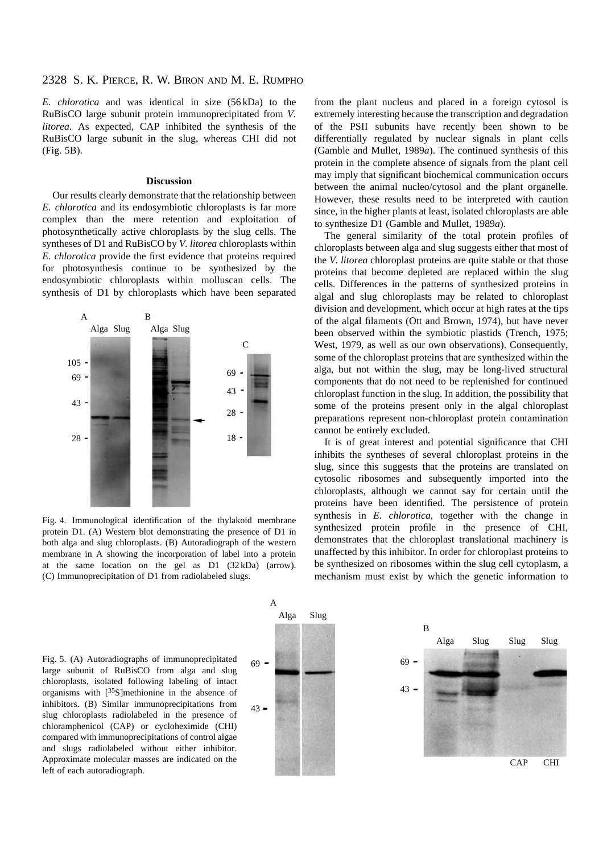*E. chlorotica* and was identical in size (56 kDa) to the RuBisCO large subunit protein immunoprecipitated from *V. litorea*. As expected, CAP inhibited the synthesis of the RuBisCO large subunit in the slug, whereas CHI did not (Fig. 5B).

### **Discussion**

Our results clearly demonstrate that the relationship between *E. chlorotica* and its endosymbiotic chloroplasts is far more complex than the mere retention and exploitation of photosynthetically active chloroplasts by the slug cells. The syntheses of D1 and RuBisCO by *V. litorea* chloroplasts within *E. chlorotica* provide the first evidence that proteins required for photosynthesis continue to be synthesized by the endosymbiotic chloroplasts within molluscan cells. The synthesis of D1 by chloroplasts which have been separated



Fig. 4. Immunological identification of the thylakoid membrane protein D1. (A) Western blot demonstrating the presence of D1 in both alga and slug chloroplasts. (B) Autoradiograph of the western membrane in A showing the incorporation of label into a protein at the same location on the gel as D1 (32 kDa) (arrow). (C) Immunoprecipitation of D1 from radiolabeled slugs.

from the plant nucleus and placed in a foreign cytosol is extremely interesting because the transcription and degradation of the PSII subunits have recently been shown to be differentially regulated by nuclear signals in plant cells (Gamble and Mullet, 1989*a*). The continued synthesis of this protein in the complete absence of signals from the plant cell may imply that significant biochemical communication occurs between the animal nucleo/cytosol and the plant organelle. However, these results need to be interpreted with caution since, in the higher plants at least, isolated chloroplasts are able to synthesize D1 (Gamble and Mullet, 1989*a*).

The general similarity of the total protein profiles of chloroplasts between alga and slug suggests either that most of the *V. litorea* chloroplast proteins are quite stable or that those proteins that become depleted are replaced within the slug cells. Differences in the patterns of synthesized proteins in algal and slug chloroplasts may be related to chloroplast division and development, which occur at high rates at the tips of the algal filaments (Ott and Brown, 1974), but have never been observed within the symbiotic plastids (Trench, 1975; West, 1979, as well as our own observations). Consequently, some of the chloroplast proteins that are synthesized within the alga, but not within the slug, may be long-lived structural components that do not need to be replenished for continued chloroplast function in the slug. In addition, the possibility that some of the proteins present only in the algal chloroplast preparations represent non-chloroplast protein contamination cannot be entirely excluded.

It is of great interest and potential significance that CHI inhibits the syntheses of several chloroplast proteins in the slug, since this suggests that the proteins are translated on cytosolic ribosomes and subsequently imported into the chloroplasts, although we cannot say for certain until the proteins have been identified. The persistence of protein synthesis in *E. chlorotica*, together with the change in synthesized protein profile in the presence of CHI, demonstrates that the chloroplast translational machinery is unaffected by this inhibitor. In order for chloroplast proteins to be synthesized on ribosomes within the slug cell cytoplasm, a mechanism must exist by which the genetic information to

Fig. 5. (A) Autoradiographs of immunoprecipitated large subunit of RuBisCO from alga and slug chloroplasts, isolated following labeling of intact organisms with [35S]methionine in the absence of inhibitors. (B) Similar immunoprecipitations from slug chloroplasts radiolabeled in the presence of chloramphenicol (CAP) or cycloheximide (CHI) compared with immunoprecipitations of control algae and slugs radiolabeled without either inhibitor. Approximate molecular masses are indicated on the left of each autoradiograph.

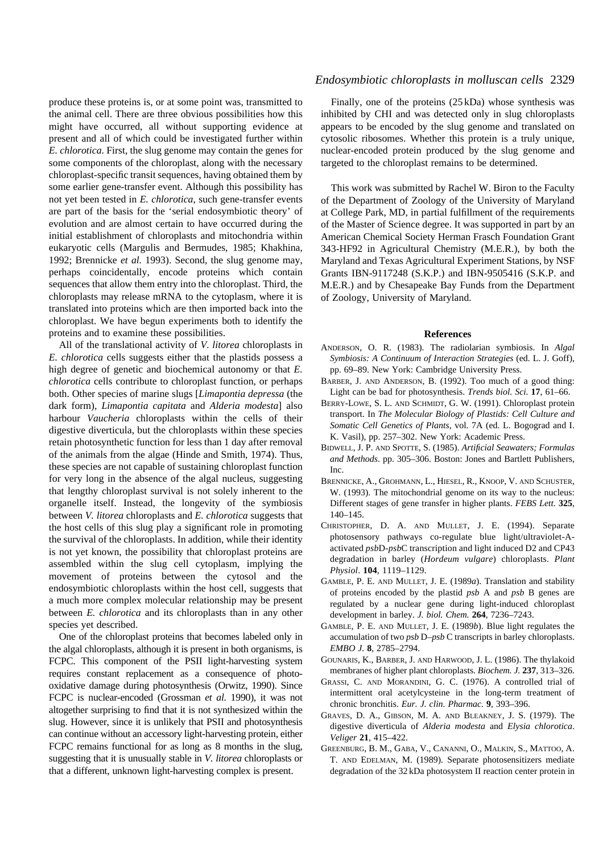produce these proteins is, or at some point was, transmitted to the animal cell. There are three obvious possibilities how this might have occurred, all without supporting evidence at present and all of which could be investigated further within *E. chlorotica*. First, the slug genome may contain the genes for some components of the chloroplast, along with the necessary chloroplast-specific transit sequences, having obtained them by some earlier gene-transfer event. Although this possibility has not yet been tested in *E. chlorotica*, such gene-transfer events are part of the basis for the 'serial endosymbiotic theory' of evolution and are almost certain to have occurred during the initial establishment of chloroplasts and mitochondria within eukaryotic cells (Margulis and Bermudes, 1985; Khakhina, 1992; Brennicke *et al.* 1993). Second, the slug genome may, perhaps coincidentally, encode proteins which contain sequences that allow them entry into the chloroplast. Third, the chloroplasts may release mRNA to the cytoplasm, where it is translated into proteins which are then imported back into the chloroplast. We have begun experiments both to identify the proteins and to examine these possibilities.

All of the translational activity of *V. litorea* chloroplasts in *E. chlorotica* cells suggests either that the plastids possess a high degree of genetic and biochemical autonomy or that *E. chlorotica* cells contribute to chloroplast function, or perhaps both. Other species of marine slugs [*Limapontia depressa* (the dark form), *Limapontia capitata* and *Alderia modesta*] also harbour *Vaucheria* chloroplasts within the cells of their digestive diverticula, but the chloroplasts within these species retain photosynthetic function for less than 1 day after removal of the animals from the algae (Hinde and Smith, 1974). Thus, these species are not capable of sustaining chloroplast function for very long in the absence of the algal nucleus, suggesting that lengthy chloroplast survival is not solely inherent to the organelle itself. Instead, the longevity of the symbiosis between *V. litorea* chloroplasts and *E. chlorotica* suggests that the host cells of this slug play a significant role in promoting the survival of the chloroplasts. In addition, while their identity is not yet known, the possibility that chloroplast proteins are assembled within the slug cell cytoplasm, implying the movement of proteins between the cytosol and the endosymbiotic chloroplasts within the host cell, suggests that a much more complex molecular relationship may be present between *E. chlorotica* and its chloroplasts than in any other species yet described.

One of the chloroplast proteins that becomes labeled only in the algal chloroplasts, although it is present in both organisms, is FCPC. This component of the PSII light-harvesting system requires constant replacement as a consequence of photooxidative damage during photosynthesis (Orwitz, 1990). Since FCPC is nuclear-encoded (Grossman *et al.* 1990), it was not altogether surprising to find that it is not synthesized within the slug. However, since it is unlikely that PSII and photosynthesis can continue without an accessory light-harvesting protein, either FCPC remains functional for as long as 8 months in the slug, suggesting that it is unusually stable in *V. litorea* chloroplasts or that a different, unknown light-harvesting complex is present.

### *Endosymbiotic chloroplasts in molluscan cells* 2329

Finally, one of the proteins (25 kDa) whose synthesis was inhibited by CHI and was detected only in slug chloroplasts appears to be encoded by the slug genome and translated on cytosolic ribosomes. Whether this protein is a truly unique, nuclear-encoded protein produced by the slug genome and targeted to the chloroplast remains to be determined.

This work was submitted by Rachel W. Biron to the Faculty of the Department of Zoology of the University of Maryland at College Park, MD, in partial fulfillment of the requirements of the Master of Science degree. It was supported in part by an American Chemical Society Herman Frasch Foundation Grant 343-HF92 in Agricultural Chemistry (M.E.R.), by both the Maryland and Texas Agricultural Experiment Stations, by NSF Grants IBN-9117248 (S.K.P.) and IBN-9505416 (S.K.P. and M.E.R.) and by Chesapeake Bay Funds from the Department of Zoology, University of Maryland.

#### **References**

- ANDERSON, O. R. (1983). The radiolarian symbiosis. In *Algal Symbiosis: A Continuum of Interaction Strategies* (ed. L. J. Goff), pp. 69–89. New York: Cambridge University Press.
- BARBER, J. AND ANDERSON, B. (1992). Too much of a good thing: Light can be bad for photosynthesis. *Trends biol. Sci.* **17**, 61–66.
- BERRY-LOWE, S. L. AND SCHMIDT, G. W. (1991). Chloroplast protein transport. In *The Molecular Biology of Plastids: Cell Culture and Somatic Cell Genetics of Plants*, vol. 7A (ed. L. Bogograd and I. K. Vasil), pp. 257–302. New York: Academic Press.
- BIDWELL, J. P. AND SPOTTE, S. (1985). *Artificial Seawaters; Formulas and Methods*. pp. 305–306. Boston: Jones and Bartlett Publishers, Inc.
- BRENNICKE, A., GROHMANN, L., HIESEL, R., KNOOP, V. AND SCHUSTER, W. (1993). The mitochondrial genome on its way to the nucleus: Different stages of gene transfer in higher plants. *FEBS Lett.* **325**, 140–145.
- CHRISTOPHER, D. A. AND MULLET, J. E. (1994). Separate photosensory pathways co-regulate blue light/ultraviolet-Aactivated *psb*D-*psb*C transcription and light induced D2 and CP43 degradation in barley (*Hordeum vulgare*) chloroplasts. *Plant Physiol*. **104**, 1119–1129.
- GAMBLE, P. E. AND MULLET, J. E. (1989*a*). Translation and stability of proteins encoded by the plastid *psb* A and *psb* B genes are regulated by a nuclear gene during light-induced chloroplast development in barley. *J. biol. Chem.* **264**, 7236–7243.
- GAMBLE, P. E. AND MULLET, J. E. (1989*b*). Blue light regulates the accumulation of two *psb* D–*psb* C transcripts in barley chloroplasts. *EMBO J.* **8**, 2785–2794.
- GOUNARIS, K., BARBER, J. AND HARWOOD, J. L. (1986). The thylakoid membranes of higher plant chloroplasts. *Biochem. J.* **237**, 313–326.
- GRASSI, C. AND MORANDINI, G. C. (1976). A controlled trial of intermittent oral acetylcysteine in the long-term treatment of chronic bronchitis. *Eur. J. clin. Pharmac.* **9**, 393–396.
- GRAVES, D. A., GIBSON, M. A. AND BLEAKNEY, J. S. (1979). The digestive diverticula of *Alderia modesta* and *Elysia chlorotica*. *Veliger* **21**, 415–422.
- GREENBURG, B. M., GABA, V., CANANNI, O., MALKIN, S., MATTOO, A. T. AND EDELMAN, M. (1989). Separate photosensitizers mediate degradation of the 32 kDa photosystem II reaction center protein in